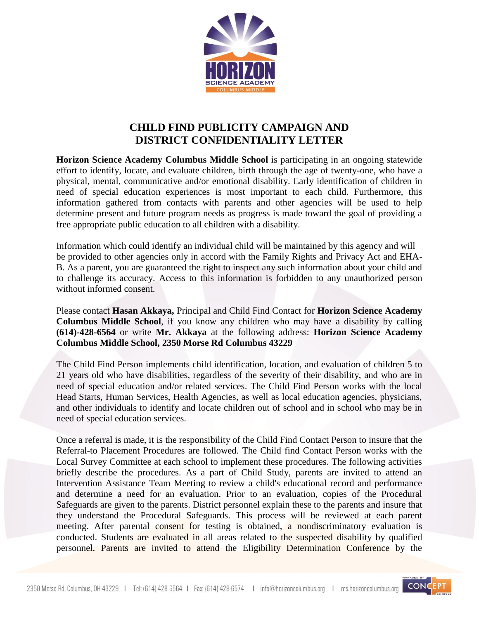

## **CHILD FIND PUBLICITY CAMPAIGN AND DISTRICT CONFIDENTIALITY LETTER**

**Horizon Science Academy Columbus Middle School** is participating in an ongoing statewide effort to identify, locate, and evaluate children, birth through the age of twenty-one, who have a physical, mental, communicative and/or emotional disability. Early identification of children in need of special education experiences is most important to each child. Furthermore, this information gathered from contacts with parents and other agencies will be used to help determine present and future program needs as progress is made toward the goal of providing a free appropriate public education to all children with a disability.

Information which could identify an individual child will be maintained by this agency and will be provided to other agencies only in accord with the Family Rights and Privacy Act and EHA-B. As a parent, you are guaranteed the right to inspect any such information about your child and to challenge its accuracy. Access to this information is forbidden to any unauthorized person without informed consent.

Please contact **Hasan Akkaya,** Principal and Child Find Contact for **Horizon Science Academy Columbus Middle School**, if you know any children who may have a disability by calling **(614)-428-6564** or write **Mr. Akkaya** at the following address: **Horizon Science Academy Columbus Middle School, 2350 Morse Rd Columbus 43229**

The Child Find Person implements child identification, location, and evaluation of children 5 to 21 years old who have disabilities, regardless of the severity of their disability, and who are in need of special education and/or related services. The Child Find Person works with the local Head Starts, Human Services, Health Agencies, as well as local education agencies, physicians, and other individuals to identify and locate children out of school and in school who may be in need of special education services.

Once a referral is made, it is the responsibility of the Child Find Contact Person to insure that the Referral-to Placement Procedures are followed. The Child find Contact Person works with the Local Survey Committee at each school to implement these procedures. The following activities briefly describe the procedures. As a part of Child Study, parents are invited to attend an Intervention Assistance Team Meeting to review a child's educational record and performance and determine a need for an evaluation. Prior to an evaluation, copies of the Procedural Safeguards are given to the parents. District personnel explain these to the parents and insure that they understand the Procedural Safeguards. This process will be reviewed at each parent meeting. After parental consent for testing is obtained, a nondiscriminatory evaluation is conducted. Students are evaluated in all areas related to the suspected disability by qualified personnel. Parents are invited to attend the Eligibility Determination Conference by the